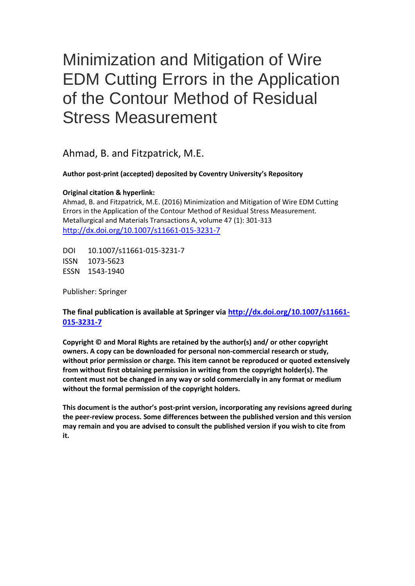# Minimization and Mitigation of Wire EDM Cutting Errors in the Application of the Contour Method of Residual Stress Measurement

Ahmad, B. and Fitzpatrick, M.E.

## **Author post-print (accepted) deposited by Coventry University's Repository**

### **Original citation & hyperlink:**

Ahmad, B. and Fitzpatrick, M.E. (2016) Minimization and Mitigation of Wire EDM Cutting Errors in the Application of the Contour Method of Residual Stress Measurement. Metallurgical and Materials Transactions A, volume 47 (1): 301-313 <http://dx.doi.org/10.1007/s11661-015-3231-7>

DOI 10.1007/s11661-015-3231-7 ISSN 1073-5623 ESSN 1543-1940

Publisher: Springer

# **The final publication is available at Springer via [http://dx.doi.org/10.1007/s11661-](http://dx.doi.org/10.1007/s11661-015-3231-7) [015-3231-7](http://dx.doi.org/10.1007/s11661-015-3231-7)**

**Copyright © and Moral Rights are retained by the author(s) and/ or other copyright owners. A copy can be downloaded for personal non-commercial research or study, without prior permission or charge. This item cannot be reproduced or quoted extensively from without first obtaining permission in writing from the copyright holder(s). The content must not be changed in any way or sold commercially in any format or medium without the formal permission of the copyright holders.** 

**This document is the author's post-print version, incorporating any revisions agreed during the peer-review process. Some differences between the published version and this version may remain and you are advised to consult the published version if you wish to cite from it.**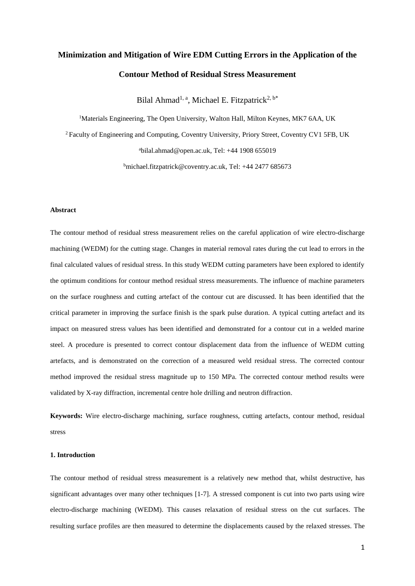# **Minimization and Mitigation of Wire EDM Cutting Errors in the Application of the Contour Method of Residual Stress Measurement**

Bilal Ahmad<sup>1, a</sup>, Michael E. Fitzpatrick<sup>2, b\*</sup>

<sup>1</sup>Materials Engineering, The Open University, Walton Hall, Milton Keynes, MK7 6AA, UK <sup>2</sup>Faculty of Engineering and Computing, Coventry University, Priory Street, Coventry CV1 5FB, UK  $a$ [bilal.ahmad@open.ac.uk,](mailto:abilal.ahmad@open.ac.uk) Tel:  $+44$  1908 655019

b<sub>[michael.fitzpatrick@coventry.ac.uk,](mailto:bmichael.fitzpatrick@coventry.ac.uk) Tel: +44 2477 685673</sub>

#### **Abstract**

The contour method of residual stress measurement relies on the careful application of wire electro-discharge machining (WEDM) for the cutting stage. Changes in material removal rates during the cut lead to errors in the final calculated values of residual stress. In this study WEDM cutting parameters have been explored to identify the optimum conditions for contour method residual stress measurements. The influence of machine parameters on the surface roughness and cutting artefact of the contour cut are discussed. It has been identified that the critical parameter in improving the surface finish is the spark pulse duration. A typical cutting artefact and its impact on measured stress values has been identified and demonstrated for a contour cut in a welded marine steel. A procedure is presented to correct contour displacement data from the influence of WEDM cutting artefacts, and is demonstrated on the correction of a measured weld residual stress. The corrected contour method improved the residual stress magnitude up to 150 MPa. The corrected contour method results were validated by X-ray diffraction, incremental centre hole drilling and neutron diffraction.

**Keywords:** Wire electro-discharge machining, surface roughness, cutting artefacts, contour method, residual stress

#### **1. Introduction**

The contour method of residual stress measurement is a relatively new method that, whilst destructive, has significant advantages over many other techniques [1-7]. A stressed component is cut into two parts using wire electro-discharge machining (WEDM). This causes relaxation of residual stress on the cut surfaces. The resulting surface profiles are then measured to determine the displacements caused by the relaxed stresses. The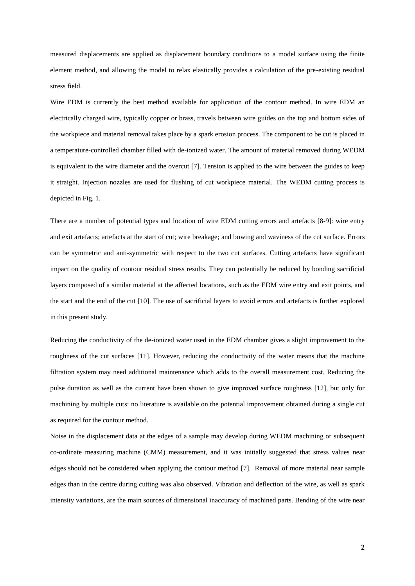measured displacements are applied as displacement boundary conditions to a model surface using the finite element method, and allowing the model to relax elastically provides a calculation of the pre-existing residual stress field.

Wire EDM is currently the best method available for application of the contour method. In wire EDM an electrically charged wire, typically copper or brass, travels between wire guides on the top and bottom sides of the workpiece and material removal takes place by a spark erosion process. The component to be cut is placed in a temperature-controlled chamber filled with de-ionized water. The amount of material removed during WEDM is equivalent to the wire diameter and the overcut [7]. Tension is applied to the wire between the guides to keep it straight. Injection nozzles are used for flushing of cut workpiece material. The WEDM cutting process is depicted in Fig. 1.

There are a number of potential types and location of wire EDM cutting errors and artefacts [8-9]: wire entry and exit artefacts; artefacts at the start of cut; wire breakage; and bowing and waviness of the cut surface. Errors can be symmetric and anti-symmetric with respect to the two cut surfaces. Cutting artefacts have significant impact on the quality of contour residual stress results. They can potentially be reduced by bonding sacrificial layers composed of a similar material at the affected locations, such as the EDM wire entry and exit points, and the start and the end of the cut [10]. The use of sacrificial layers to avoid errors and artefacts is further explored in this present study.

Reducing the conductivity of the de-ionized water used in the EDM chamber gives a slight improvement to the roughness of the cut surfaces [11]. However, reducing the conductivity of the water means that the machine filtration system may need additional maintenance which adds to the overall measurement cost. Reducing the pulse duration as well as the current have been shown to give improved surface roughness [12], but only for machining by multiple cuts: no literature is available on the potential improvement obtained during a single cut as required for the contour method.

Noise in the displacement data at the edges of a sample may develop during WEDM machining or subsequent co-ordinate measuring machine (CMM) measurement, and it was initially suggested that stress values near edges should not be considered when applying the contour method [7]. Removal of more material near sample edges than in the centre during cutting was also observed. Vibration and deflection of the wire, as well as spark intensity variations, are the main sources of dimensional inaccuracy of machined parts. Bending of the wire near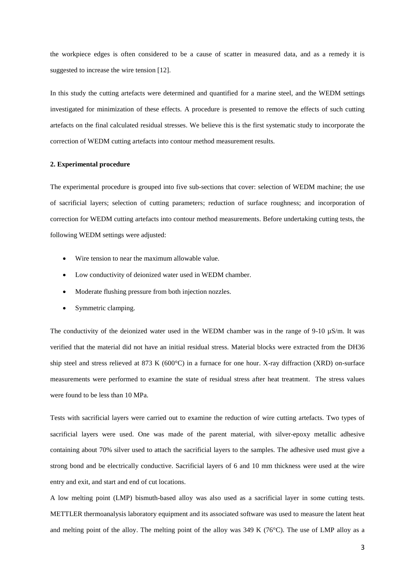the workpiece edges is often considered to be a cause of scatter in measured data, and as a remedy it is suggested to increase the wire tension [12].

In this study the cutting artefacts were determined and quantified for a marine steel, and the WEDM settings investigated for minimization of these effects. A procedure is presented to remove the effects of such cutting artefacts on the final calculated residual stresses. We believe this is the first systematic study to incorporate the correction of WEDM cutting artefacts into contour method measurement results.

#### **2. Experimental procedure**

The experimental procedure is grouped into five sub-sections that cover: selection of WEDM machine; the use of sacrificial layers; selection of cutting parameters; reduction of surface roughness; and incorporation of correction for WEDM cutting artefacts into contour method measurements. Before undertaking cutting tests, the following WEDM settings were adjusted:

- Wire tension to near the maximum allowable value.
- Low conductivity of deionized water used in WEDM chamber.
- Moderate flushing pressure from both injection nozzles.
- Symmetric clamping.

The conductivity of the deionized water used in the WEDM chamber was in the range of 9-10  $\mu$ S/m. It was verified that the material did not have an initial residual stress. Material blocks were extracted from the DH36 ship steel and stress relieved at 873 K (600°C) in a furnace for one hour. X-ray diffraction (XRD) on-surface measurements were performed to examine the state of residual stress after heat treatment. The stress values were found to be less than 10 MPa.

Tests with sacrificial layers were carried out to examine the reduction of wire cutting artefacts. Two types of sacrificial layers were used. One was made of the parent material, with silver-epoxy metallic adhesive containing about 70% silver used to attach the sacrificial layers to the samples. The adhesive used must give a strong bond and be electrically conductive. Sacrificial layers of 6 and 10 mm thickness were used at the wire entry and exit, and start and end of cut locations.

A low melting point (LMP) bismuth-based alloy was also used as a sacrificial layer in some cutting tests. METTLER thermoanalysis laboratory equipment and its associated software was used to measure the latent heat and melting point of the alloy. The melting point of the alloy was 349 K (76°C). The use of LMP alloy as a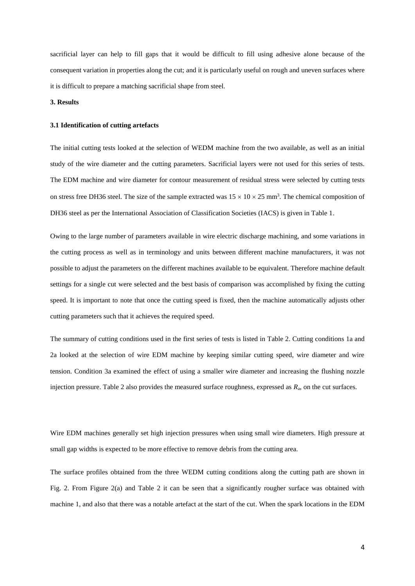sacrificial layer can help to fill gaps that it would be difficult to fill using adhesive alone because of the consequent variation in properties along the cut; and it is particularly useful on rough and uneven surfaces where it is difficult to prepare a matching sacrificial shape from steel.

#### **3. Results**

#### **3.1 Identification of cutting artefacts**

The initial cutting tests looked at the selection of WEDM machine from the two available, as well as an initial study of the wire diameter and the cutting parameters. Sacrificial layers were not used for this series of tests. The EDM machine and wire diameter for contour measurement of residual stress were selected by cutting tests on stress free DH36 steel. The size of the sample extracted was  $15 \times 10 \times 25$  mm<sup>3</sup>. The chemical composition of DH36 steel as per the International Association of Classification Societies (IACS) is given in Table 1.

Owing to the large number of parameters available in wire electric discharge machining, and some variations in the cutting process as well as in terminology and units between different machine manufacturers, it was not possible to adjust the parameters on the different machines available to be equivalent. Therefore machine default settings for a single cut were selected and the best basis of comparison was accomplished by fixing the cutting speed. It is important to note that once the cutting speed is fixed, then the machine automatically adjusts other cutting parameters such that it achieves the required speed.

The summary of cutting conditions used in the first series of tests is listed in Table 2. Cutting conditions 1a and 2a looked at the selection of wire EDM machine by keeping similar cutting speed, wire diameter and wire tension. Condition 3a examined the effect of using a smaller wire diameter and increasing the flushing nozzle injection pressure. Table 2 also provides the measured surface roughness, expressed as *R*a, on the cut surfaces.

Wire EDM machines generally set high injection pressures when using small wire diameters. High pressure at small gap widths is expected to be more effective to remove debris from the cutting area.

The surface profiles obtained from the three WEDM cutting conditions along the cutting path are shown in Fig. 2. From Figure 2(a) and Table 2 it can be seen that a significantly rougher surface was obtained with machine 1, and also that there was a notable artefact at the start of the cut. When the spark locations in the EDM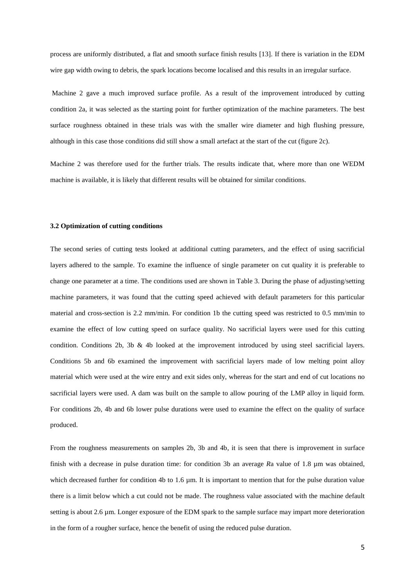process are uniformly distributed, a flat and smooth surface finish results [13]. If there is variation in the EDM wire gap width owing to debris, the spark locations become localised and this results in an irregular surface.

Machine 2 gave a much improved surface profile. As a result of the improvement introduced by cutting condition 2a, it was selected as the starting point for further optimization of the machine parameters. The best surface roughness obtained in these trials was with the smaller wire diameter and high flushing pressure, although in this case those conditions did still show a small artefact at the start of the cut (figure 2c).

Machine 2 was therefore used for the further trials. The results indicate that, where more than one WEDM machine is available, it is likely that different results will be obtained for similar conditions.

#### **3.2 Optimization of cutting conditions**

The second series of cutting tests looked at additional cutting parameters, and the effect of using sacrificial layers adhered to the sample. To examine the influence of single parameter on cut quality it is preferable to change one parameter at a time. The conditions used are shown in Table 3. During the phase of adjusting/setting machine parameters, it was found that the cutting speed achieved with default parameters for this particular material and cross-section is 2.2 mm/min. For condition 1b the cutting speed was restricted to 0.5 mm/min to examine the effect of low cutting speed on surface quality. No sacrificial layers were used for this cutting condition. Conditions 2b, 3b & 4b looked at the improvement introduced by using steel sacrificial layers. Conditions 5b and 6b examined the improvement with sacrificial layers made of low melting point alloy material which were used at the wire entry and exit sides only, whereas for the start and end of cut locations no sacrificial layers were used. A dam was built on the sample to allow pouring of the LMP alloy in liquid form. For conditions 2b, 4b and 6b lower pulse durations were used to examine the effect on the quality of surface produced.

From the roughness measurements on samples 2b, 3b and 4b, it is seen that there is improvement in surface finish with a decrease in pulse duration time: for condition 3b an average *R*a value of 1.8 µm was obtained, which decreased further for condition 4b to 1.6  $\mu$ m. It is important to mention that for the pulse duration value there is a limit below which a cut could not be made. The roughness value associated with the machine default setting is about 2.6 µm. Longer exposure of the EDM spark to the sample surface may impart more deterioration in the form of a rougher surface, hence the benefit of using the reduced pulse duration.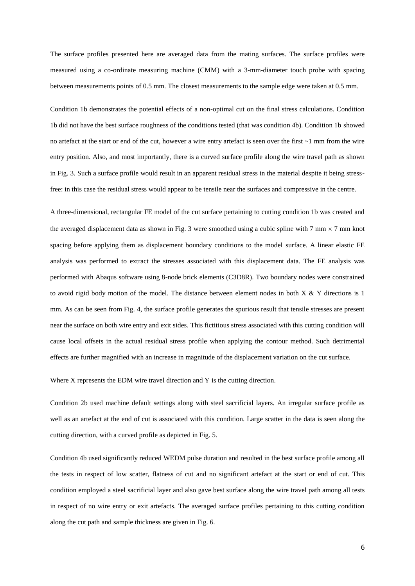The surface profiles presented here are averaged data from the mating surfaces. The surface profiles were measured using a co-ordinate measuring machine (CMM) with a 3-mm-diameter touch probe with spacing between measurements points of 0.5 mm. The closest measurements to the sample edge were taken at 0.5 mm.

Condition 1b demonstrates the potential effects of a non-optimal cut on the final stress calculations. Condition 1b did not have the best surface roughness of the conditions tested (that was condition 4b). Condition 1b showed no artefact at the start or end of the cut, however a wire entry artefact is seen over the first  $\sim$ 1 mm from the wire entry position. Also, and most importantly, there is a curved surface profile along the wire travel path as shown in Fig. 3. Such a surface profile would result in an apparent residual stress in the material despite it being stressfree: in this case the residual stress would appear to be tensile near the surfaces and compressive in the centre.

A three-dimensional, rectangular FE model of the cut surface pertaining to cutting condition 1b was created and the averaged displacement data as shown in Fig. 3 were smoothed using a cubic spline with 7 mm  $\times$  7 mm knot spacing before applying them as displacement boundary conditions to the model surface. A linear elastic FE analysis was performed to extract the stresses associated with this displacement data. The FE analysis was performed with Abaqus software using 8-node brick elements (C3D8R). Two boundary nodes were constrained to avoid rigid body motion of the model. The distance between element nodes in both X & Y directions is 1 mm. As can be seen from Fig. 4, the surface profile generates the spurious result that tensile stresses are present near the surface on both wire entry and exit sides. This fictitious stress associated with this cutting condition will cause local offsets in the actual residual stress profile when applying the contour method. Such detrimental effects are further magnified with an increase in magnitude of the displacement variation on the cut surface.

Where X represents the EDM wire travel direction and Y is the cutting direction.

Condition 2b used machine default settings along with steel sacrificial layers. An irregular surface profile as well as an artefact at the end of cut is associated with this condition. Large scatter in the data is seen along the cutting direction, with a curved profile as depicted in Fig. 5.

Condition 4b used significantly reduced WEDM pulse duration and resulted in the best surface profile among all the tests in respect of low scatter, flatness of cut and no significant artefact at the start or end of cut. This condition employed a steel sacrificial layer and also gave best surface along the wire travel path among all tests in respect of no wire entry or exit artefacts. The averaged surface profiles pertaining to this cutting condition along the cut path and sample thickness are given in Fig. 6.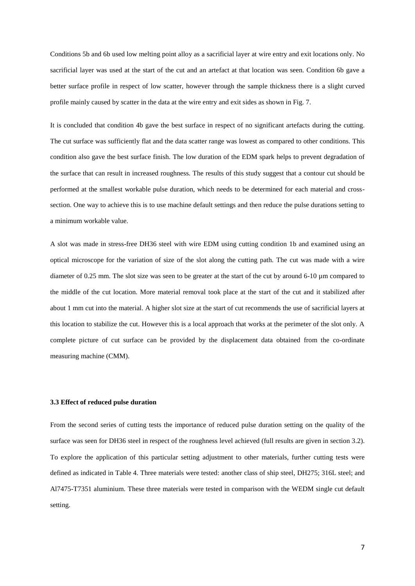Conditions 5b and 6b used low melting point alloy as a sacrificial layer at wire entry and exit locations only. No sacrificial layer was used at the start of the cut and an artefact at that location was seen. Condition 6b gave a better surface profile in respect of low scatter, however through the sample thickness there is a slight curved profile mainly caused by scatter in the data at the wire entry and exit sides as shown in Fig. 7.

It is concluded that condition 4b gave the best surface in respect of no significant artefacts during the cutting. The cut surface was sufficiently flat and the data scatter range was lowest as compared to other conditions. This condition also gave the best surface finish. The low duration of the EDM spark helps to prevent degradation of the surface that can result in increased roughness. The results of this study suggest that a contour cut should be performed at the smallest workable pulse duration, which needs to be determined for each material and crosssection. One way to achieve this is to use machine default settings and then reduce the pulse durations setting to a minimum workable value.

A slot was made in stress-free DH36 steel with wire EDM using cutting condition 1b and examined using an optical microscope for the variation of size of the slot along the cutting path. The cut was made with a wire diameter of 0.25 mm. The slot size was seen to be greater at the start of the cut by around 6-10 µm compared to the middle of the cut location. More material removal took place at the start of the cut and it stabilized after about 1 mm cut into the material. A higher slot size at the start of cut recommends the use of sacrificial layers at this location to stabilize the cut. However this is a local approach that works at the perimeter of the slot only. A complete picture of cut surface can be provided by the displacement data obtained from the co-ordinate measuring machine (CMM).

#### **3.3 Effect of reduced pulse duration**

From the second series of cutting tests the importance of reduced pulse duration setting on the quality of the surface was seen for DH36 steel in respect of the roughness level achieved (full results are given in section 3.2). To explore the application of this particular setting adjustment to other materials, further cutting tests were defined as indicated in Table 4. Three materials were tested: another class of ship steel, DH275; 316L steel; and Al7475-T7351 aluminium. These three materials were tested in comparison with the WEDM single cut default setting.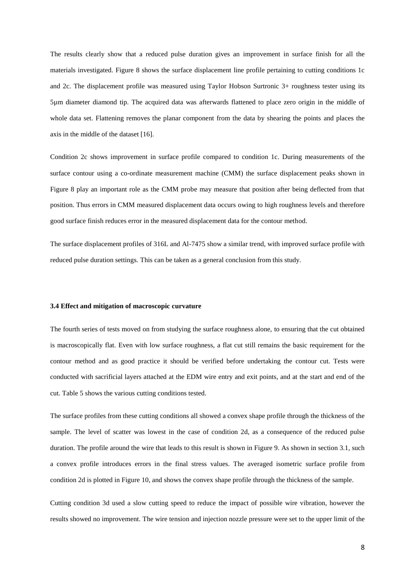The results clearly show that a reduced pulse duration gives an improvement in surface finish for all the materials investigated. Figure 8 shows the surface displacement line profile pertaining to cutting conditions 1c and 2c. The displacement profile was measured using Taylor Hobson Surtronic 3+ roughness tester using its 5µm diameter diamond tip. The acquired data was afterwards flattened to place zero origin in the middle of whole data set. Flattening removes the planar component from the data by shearing the points and places the axis in the middle of the dataset [16].

Condition 2c shows improvement in surface profile compared to condition 1c. During measurements of the surface contour using a co-ordinate measurement machine (CMM) the surface displacement peaks shown in Figure 8 play an important role as the CMM probe may measure that position after being deflected from that position. Thus errors in CMM measured displacement data occurs owing to high roughness levels and therefore good surface finish reduces error in the measured displacement data for the contour method.

The surface displacement profiles of 316L and Al-7475 show a similar trend, with improved surface profile with reduced pulse duration settings. This can be taken as a general conclusion from this study.

#### **3.4 Effect and mitigation of macroscopic curvature**

The fourth series of tests moved on from studying the surface roughness alone, to ensuring that the cut obtained is macroscopically flat. Even with low surface roughness, a flat cut still remains the basic requirement for the contour method and as good practice it should be verified before undertaking the contour cut. Tests were conducted with sacrificial layers attached at the EDM wire entry and exit points, and at the start and end of the cut. Table 5 shows the various cutting conditions tested.

The surface profiles from these cutting conditions all showed a convex shape profile through the thickness of the sample. The level of scatter was lowest in the case of condition 2d, as a consequence of the reduced pulse duration. The profile around the wire that leads to this result is shown in Figure 9. As shown in section 3.1, such a convex profile introduces errors in the final stress values. The averaged isometric surface profile from condition 2d is plotted in Figure 10, and shows the convex shape profile through the thickness of the sample.

Cutting condition 3d used a slow cutting speed to reduce the impact of possible wire vibration, however the results showed no improvement. The wire tension and injection nozzle pressure were set to the upper limit of the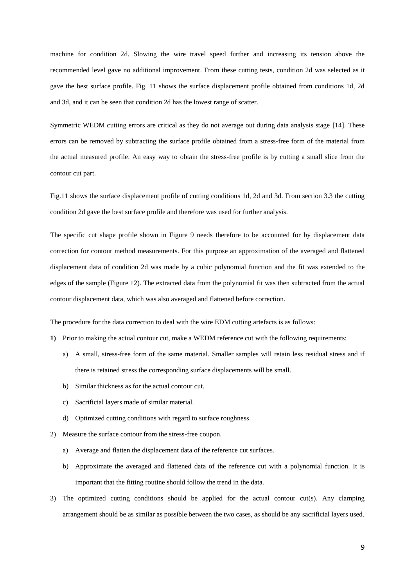machine for condition 2d. Slowing the wire travel speed further and increasing its tension above the recommended level gave no additional improvement. From these cutting tests, condition 2d was selected as it gave the best surface profile. Fig. 11 shows the surface displacement profile obtained from conditions 1d, 2d and 3d, and it can be seen that condition 2d has the lowest range of scatter.

Symmetric WEDM cutting errors are critical as they do not average out during data analysis stage [14]. These errors can be removed by subtracting the surface profile obtained from a stress-free form of the material from the actual measured profile. An easy way to obtain the stress-free profile is by cutting a small slice from the contour cut part.

Fig.11 shows the surface displacement profile of cutting conditions 1d, 2d and 3d. From section 3.3 the cutting condition 2d gave the best surface profile and therefore was used for further analysis.

The specific cut shape profile shown in Figure 9 needs therefore to be accounted for by displacement data correction for contour method measurements. For this purpose an approximation of the averaged and flattened displacement data of condition 2d was made by a cubic polynomial function and the fit was extended to the edges of the sample (Figure 12). The extracted data from the polynomial fit was then subtracted from the actual contour displacement data, which was also averaged and flattened before correction.

The procedure for the data correction to deal with the wire EDM cutting artefacts is as follows:

- **1)** Prior to making the actual contour cut, make a WEDM reference cut with the following requirements:
	- a) A small, stress-free form of the same material. Smaller samples will retain less residual stress and if there is retained stress the corresponding surface displacements will be small.
	- b) Similar thickness as for the actual contour cut.
	- c) Sacrificial layers made of similar material.
	- d) Optimized cutting conditions with regard to surface roughness.
- 2) Measure the surface contour from the stress-free coupon.
	- a) Average and flatten the displacement data of the reference cut surfaces.
	- b) Approximate the averaged and flattened data of the reference cut with a polynomial function. It is important that the fitting routine should follow the trend in the data.
- 3) The optimized cutting conditions should be applied for the actual contour cut(s). Any clamping arrangement should be as similar as possible between the two cases, as should be any sacrificial layers used.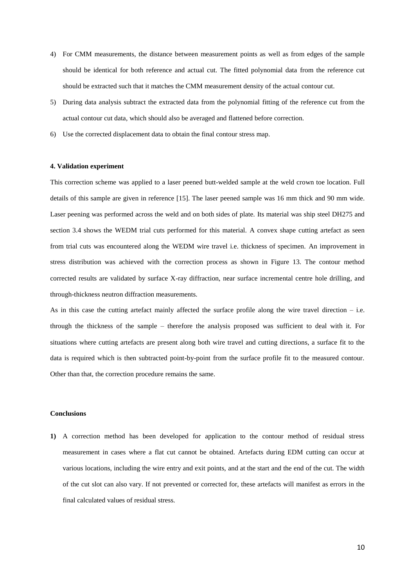- 4) For CMM measurements, the distance between measurement points as well as from edges of the sample should be identical for both reference and actual cut. The fitted polynomial data from the reference cut should be extracted such that it matches the CMM measurement density of the actual contour cut.
- 5) During data analysis subtract the extracted data from the polynomial fitting of the reference cut from the actual contour cut data, which should also be averaged and flattened before correction.
- 6) Use the corrected displacement data to obtain the final contour stress map.

#### **4. Validation experiment**

This correction scheme was applied to a laser peened butt-welded sample at the weld crown toe location. Full details of this sample are given in reference [15]. The laser peened sample was 16 mm thick and 90 mm wide. Laser peening was performed across the weld and on both sides of plate. Its material was ship steel DH275 and section 3.4 shows the WEDM trial cuts performed for this material. A convex shape cutting artefact as seen from trial cuts was encountered along the WEDM wire travel i.e. thickness of specimen. An improvement in stress distribution was achieved with the correction process as shown in Figure 13. The contour method corrected results are validated by surface X-ray diffraction, near surface incremental centre hole drilling, and through-thickness neutron diffraction measurements.

As in this case the cutting artefact mainly affected the surface profile along the wire travel direction  $-$  i.e. through the thickness of the sample – therefore the analysis proposed was sufficient to deal with it. For situations where cutting artefacts are present along both wire travel and cutting directions, a surface fit to the data is required which is then subtracted point-by-point from the surface profile fit to the measured contour. Other than that, the correction procedure remains the same.

#### **Conclusions**

**1)** A correction method has been developed for application to the contour method of residual stress measurement in cases where a flat cut cannot be obtained. Artefacts during EDM cutting can occur at various locations, including the wire entry and exit points, and at the start and the end of the cut. The width of the cut slot can also vary. If not prevented or corrected for, these artefacts will manifest as errors in the final calculated values of residual stress.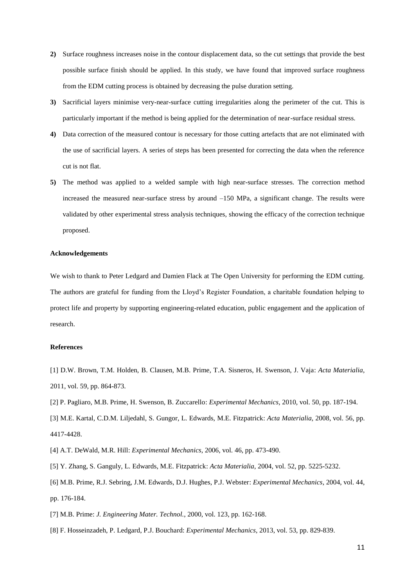- **2)** Surface roughness increases noise in the contour displacement data, so the cut settings that provide the best possible surface finish should be applied. In this study, we have found that improved surface roughness from the EDM cutting process is obtained by decreasing the pulse duration setting.
- **3)** Sacrificial layers minimise very-near-surface cutting irregularities along the perimeter of the cut. This is particularly important if the method is being applied for the determination of near-surface residual stress.
- **4)** Data correction of the measured contour is necessary for those cutting artefacts that are not eliminated with the use of sacrificial layers. A series of steps has been presented for correcting the data when the reference cut is not flat.
- **5)** The method was applied to a welded sample with high near-surface stresses. The correction method increased the measured near-surface stress by around –150 MPa, a significant change. The results were validated by other experimental stress analysis techniques, showing the efficacy of the correction technique proposed.

#### **Acknowledgements**

We wish to thank to Peter Ledgard and Damien Flack at The Open University for performing the EDM cutting. The authors are grateful for funding from the Lloyd's Register Foundation, a charitable foundation helping to protect life and property by supporting engineering-related education, public engagement and the application of research.

#### **References**

- [1] D.W. Brown, T.M. Holden, B. Clausen, M.B. Prime, T.A. Sisneros, H. Swenson, J. Vaja: *Acta Materialia*, 2011, vol. 59, pp. 864-873.
- [2] P. Pagliaro, M.B. Prime, H. Swenson, B. Zuccarello: *Experimental Mechanics*, 2010, vol. 50, pp. 187-194.
- [3] M.E. Kartal, C.D.M. Liljedahl, S. Gungor, L. Edwards, M.E. Fitzpatrick: *Acta Materialia*, 2008, vol. 56, pp. 4417-4428.
- [4] A.T. DeWald, M.R. Hill: *Experimental Mechanics*, 2006, vol. 46, pp. 473-490.
- [5] Y. Zhang, S. Ganguly, L. Edwards, M.E. Fitzpatrick: *Acta Materialia*, 2004, vol. 52, pp. 5225-5232.
- [6] M.B. Prime, R.J. Sebring, J.M. Edwards, D.J. Hughes, P.J. Webster: *Experimental Mechanics*, 2004, vol. 44, pp. 176-184.
- [7] M.B. Prime: *J. Engineering Mater. Technol.*, 2000, vol. 123, pp. 162-168.
- [8] F. Hosseinzadeh, P. Ledgard, P.J. Bouchard: *Experimental Mechanics*, 2013, vol. 53, pp. 829-839.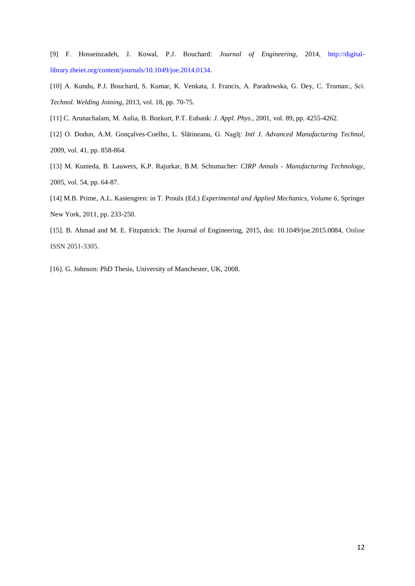[9] F. Hosseinzadeh, J. Kowal, P.J. Bouchard: *Journal of Engineering*, 2014, http://digitallibrary.theiet.org/content/journals/10.1049/joe.2014.0134.

[10] A. Kundu, P.J. Bouchard, S. Kumar, K. Venkata, J. Francis, A. Paradowska, G. Dey, C. Truman:, *Sci. Technol. Welding Joining*, 2013, vol. 18, pp. 70-75.

[11] C. Arunachalam, M. Aulia, B. Bozkurt, P.T. Eubank: *J. Appl. Phys.*, 2001, vol. 89, pp. 4255-4262.

[12] O. Dodun, A.M. Gonçalves-Coelho, L. Slătineanu, G. Nagîţ: *Intl J. Advanced Manufacturing Technol*, 2009, vol. 41, pp. 858-864.

[13] M. Kunieda, B. Lauwers, K.P. Rajurkar, B.M. Schumacher: *CIRP Annals - Manufacturing Technology*, 2005, vol. 54, pp. 64-87.

[14] M.B. Prime, A.L. Kastengren: in T. Proulx (Ed.) *Experimental and Applied Mechanics, Volume 6*, Springer New York, 2011, pp. 233-250.

[15]. B. Ahmad and M. E. Fitzpatrick: The Journal of Engineering, 2015, doi: 10.1049/joe.2015.0084, Online ISSN 2051-3305.

[16]. G. Johnson: PhD Thesis, University of Manchester, UK, 2008.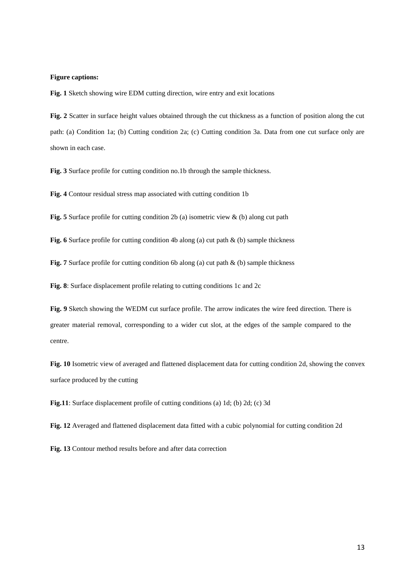#### **Figure captions:**

**Fig. 1** Sketch showing wire EDM cutting direction, wire entry and exit locations

**Fig. 2** Scatter in surface height values obtained through the cut thickness as a function of position along the cut path: (a) Condition 1a; (b) Cutting condition 2a; (c) Cutting condition 3a. Data from one cut surface only are shown in each case.

**Fig. 3** Surface profile for cutting condition no.1b through the sample thickness.

**Fig. 4** Contour residual stress map associated with cutting condition 1b

**Fig. 5** Surface profile for cutting condition 2b (a) isometric view & (b) along cut path

Fig. 6 Surface profile for cutting condition 4b along (a) cut path & (b) sample thickness

**Fig. 7** Surface profile for cutting condition 6b along (a) cut path & (b) sample thickness

**Fig. 8**: Surface displacement profile relating to cutting conditions 1c and 2c

**Fig. 9** Sketch showing the WEDM cut surface profile. The arrow indicates the wire feed direction. There is greater material removal, corresponding to a wider cut slot, at the edges of the sample compared to the centre.

**Fig. 10** Isometric view of averaged and flattened displacement data for cutting condition 2d, showing the convex surface produced by the cutting

**Fig.11**: Surface displacement profile of cutting conditions (a) 1d; (b) 2d; (c) 3d

**Fig. 12** Averaged and flattened displacement data fitted with a cubic polynomial for cutting condition 2d

**Fig. 13** Contour method results before and after data correction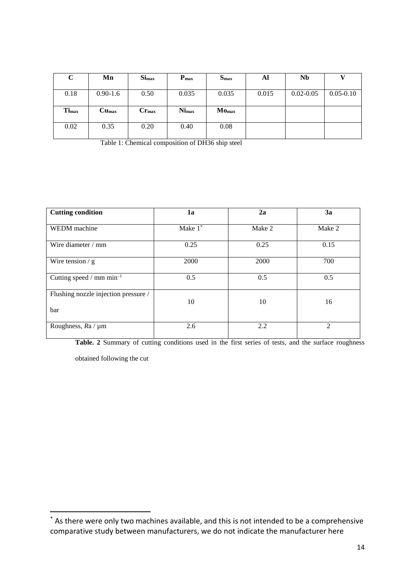| $\mathbf C$       | Mn                | $S_{\rm{1max}}$  | $P_{\text{max}}$ | $S_{\rm max}$     | Al    | Nb            |               |
|-------------------|-------------------|------------------|------------------|-------------------|-------|---------------|---------------|
|                   |                   |                  |                  |                   |       |               |               |
| 0.18              | $0.90 - 1.6$      | 0.50             | 0.035            | 0.035             | 0.015 | $0.02 - 0.05$ | $0.05 - 0.10$ |
|                   |                   |                  |                  |                   |       |               |               |
| Ti <sub>max</sub> | Cu <sub>max</sub> | $C_{\Gamma max}$ | <b>Nimax</b>     | Mo <sub>max</sub> |       |               |               |
|                   |                   |                  |                  |                   |       |               |               |
| 0.02              | 0.35              | 0.20             | 0.40             | 0.08              |       |               |               |
|                   |                   |                  |                  |                   |       |               |               |

Table 1: Chemical composition of DH36 ship steel

| <b>Cutting condition</b>                    | 1a         | 2a     | 3a             |
|---------------------------------------------|------------|--------|----------------|
| WEDM machine                                | Make $1^*$ | Make 2 | Make 2         |
| Wire diameter / mm                          | 0.25       | 0.25   | 0.15           |
| Wire tension $/$ g                          | 2000       | 2000   | 700            |
| Cutting speed / $mm \, min^{-1}$            | 0.5        | 0.5    | 0.5            |
| Flushing nozzle injection pressure /<br>bar | 10         | 10     | 16             |
| Roughness, $Ra / \mu m$                     | 2.6        | 2.2    | $\overline{c}$ |

Table. 2 Summary of cutting conditions used in the first series of tests, and the surface roughness

obtained following the cut

1

<sup>\*</sup> As there were only two machines available, and this is not intended to be a comprehensive comparative study between manufacturers, we do not indicate the manufacturer here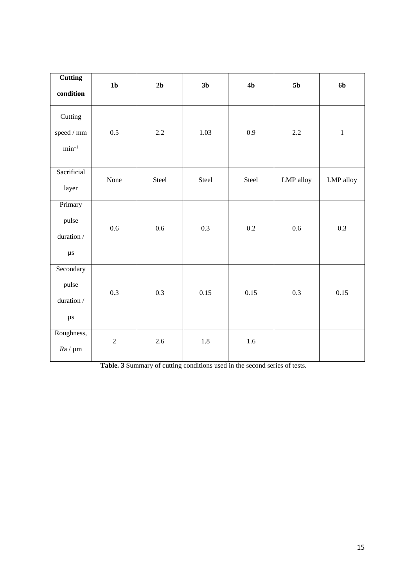| <b>Cutting</b><br>condition                          | 1 <sub>b</sub>   | 2 <sub>b</sub> | 3 <sub>b</sub> | 4 <sub>b</sub> | 5 <sub>b</sub>           | 6b                       |
|------------------------------------------------------|------------------|----------------|----------------|----------------|--------------------------|--------------------------|
| Cutting<br>$speed \mathbin{/} mm$<br>$\rm{min^{-1}}$ | 0.5              | 2.2            | 1.03           | 0.9            | 2.2                      | $\mathbf 1$              |
| Sacrificial<br>layer                                 | None             | Steel          | Steel          | Steel          | LMP alloy                | LMP alloy                |
| Primary<br>pulse<br>duration /<br>$\mu s$            | 0.6              | 0.6            | 0.3            | 0.2            | 0.6                      | 0.3                      |
| Secondary<br>pulse<br>duration /<br>$\mu s$          | 0.3              | 0.3            | 0.15           | 0.15           | 0.3                      | 0.15                     |
| Roughness,<br>$Ra / \mu m$                           | $\boldsymbol{2}$ | 2.6            | 1.8            | 1.6            | $\overline{\phantom{a}}$ | $\overline{\phantom{0}}$ |

**Table. 3** Summary of cutting conditions used in the second series of tests.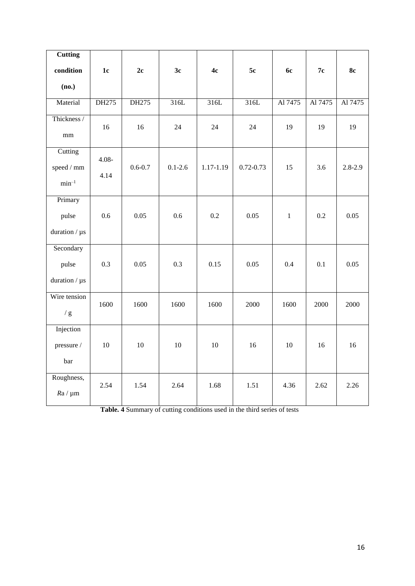| <b>Cutting</b>                           |                  |             |             |           |               |              |         |             |
|------------------------------------------|------------------|-------------|-------------|-----------|---------------|--------------|---------|-------------|
| condition                                | $1c$             | 2c          | 3c          | 4c        | 5c            | <b>6c</b>    | 7c      | <b>8c</b>   |
| (no.)                                    |                  |             |             |           |               |              |         |             |
| Material                                 | DH275            | DH275       | 316L        | 316L      | 316L          | Al 7475      | Al 7475 | Al 7475     |
| Thickness /<br>$\rm mm$                  | 16               | 16          | 24          | 24        | 24            | 19           | 19      | 19          |
| Cutting<br>speed / mm<br>$\rm{min}^{-1}$ | $4.08 -$<br>4.14 | $0.6 - 0.7$ | $0.1 - 2.6$ | 1.17-1.19 | $0.72 - 0.73$ | 15           | 3.6     | $2.8 - 2.9$ |
| Primary<br>pulse<br>duration / $\mu$ s   | 0.6              | 0.05        | 0.6         | 0.2       | 0.05          | $\mathbf{1}$ | 0.2     | 0.05        |
| Secondary<br>pulse<br>duration / $\mu$ s | 0.3              | 0.05        | 0.3         | 0.15      | 0.05          | 0.4          | 0.1     | 0.05        |
| Wire tension<br>$/\,g$                   | 1600             | 1600        | 1600        | 1600      | 2000          | 1600         | 2000    | 2000        |
| Injection<br>pressure /<br>bar           | 10               | $10\,$      | $10\,$      | $10\,$    | 16            | $10\,$       | 16      | 16          |
| Roughness,<br>$Ra / \mu m$               | 2.54             | 1.54        | 2.64        | 1.68      | 1.51          | 4.36         | 2.62    | 2.26        |

**Table. 4** Summary of cutting conditions used in the third series of tests

بب